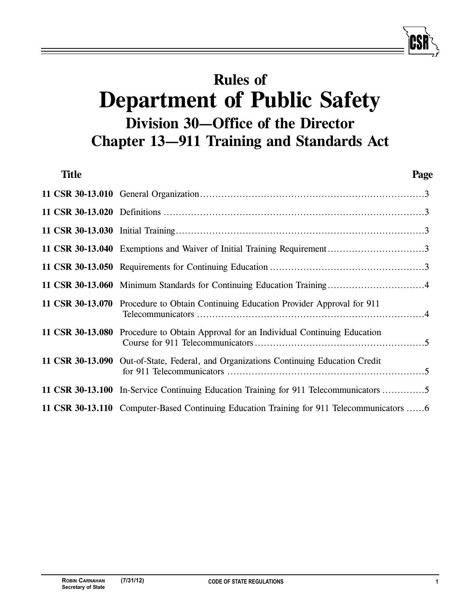# **Rules of Department of Public Safety Division 30—Office of the Director Chapter 13—911 Training and Standards Act**

| <b>Title</b> |                                                                                         | Page |
|--------------|-----------------------------------------------------------------------------------------|------|
|              |                                                                                         |      |
|              |                                                                                         |      |
|              |                                                                                         |      |
|              |                                                                                         |      |
|              |                                                                                         |      |
|              | 11 CSR 30-13.060 Minimum Standards for Continuing Education Training4                   |      |
|              | 11 CSR 30-13.070 Procedure to Obtain Continuing Education Provider Approval for 911     |      |
|              | 11 CSR 30-13.080 Procedure to Obtain Approval for an Individual Continuing Education    |      |
|              | 11 CSR 30-13.090 Out-of-State, Federal, and Organizations Continuing Education Credit   |      |
|              | 11 CSR 30-13.100 In-Service Continuing Education Training for 911 Telecommunicators 5   |      |
|              | 11 CSR 30-13.110 Computer-Based Continuing Education Training for 911 Telecommunicators |      |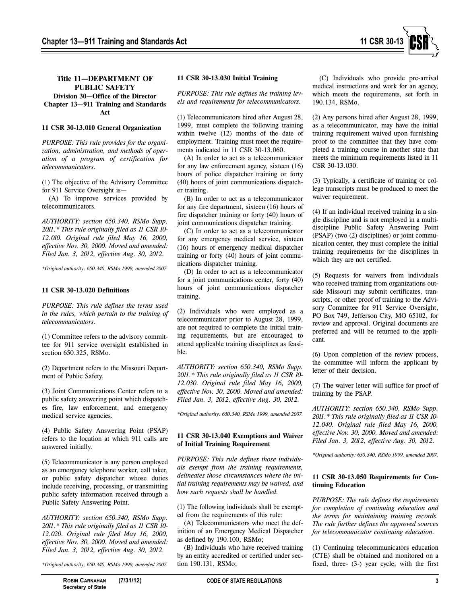

# **Title 11—DEPARTMENT OF PUBLIC SAFETY**

**Division 30—Office of the Director Chapter 13—911 Training and Standards Act**

#### **11 CSR 30-13.010 General Organization**

*PURPOSE: This rule provides for the organization, administration, and methods of operation of a program of certification for telecommunicators.*

(1) The objective of the Advisory Committee for 911 Service Oversight is—

(A) To improve services provided by telecommunicators.

*AUTHORITY: section 650.340, RSMo Supp. 2011.\* This rule originally filed as 11 CSR 10- 12.010. Original rule filed May 16, 2000, effective Nov. 30, 2000. Moved and amended: Filed Jan. 3, 2012, effective Aug. 30, 2012.*

*\*Original authority: 650.340, RSMo 1999, amended 2007.*

#### **11 CSR 30-13.020 Definitions**

*PURPOSE: This rule defines the terms used in the rules, which pertain to the training of telecommunicators.* 

(1) Committee refers to the advisory committee for 911 service oversight established in section 650.325, RSMo.

(2) Department refers to the Missouri Department of Public Safety.

(3) Joint Communications Center refers to a public safety answering point which dispatches fire, law enforcement, and emergency medical service agencies.

(4) Public Safety Answering Point (PSAP) refers to the location at which 911 calls are answered initially.

(5) Telecommunicator is any person employed as an emergency telephone worker, call taker, or public safety dispatcher whose duties include receiving, processing, or transmitting public safety information received through a Public Safety Answering Point.

*AUTHORITY: section 650.340, RSMo Supp. 2011.\* This rule originally filed as 11 CSR 10- 12.020. Original rule filed May 16, 2000, effective Nov. 30, 2000. Moved and amended: Filed Jan. 3, 2012, effective Aug. 30, 2012.*

*\*Original authority: 650.340, RSMo 1999, amended 2007.*

*PURPOSE: This rule defines the training levels and requirements for telecommunicators.* 

(1) Telecommunicators hired after August 28, 1999, must complete the following training within twelve (12) months of the date of employment. Training must meet the requirements indicated in 11 CSR 30-13.060.

(A) In order to act as a telecommunicator for any law enforcement agency, sixteen (16) hours of police dispatcher training or forty (40) hours of joint communications dispatcher training.

(B) In order to act as a telecommunicator for any fire department, sixteen (16) hours of fire dispatcher training or forty (40) hours of joint communications dispatcher training.

(C) In order to act as a telecommunicator for any emergency medical service, sixteen (16) hours of emergency medical dispatcher training or forty (40) hours of joint communications dispatcher training.

(D) In order to act as a telecommunicator for a joint communications center, forty (40) hours of joint communications dispatcher training.

(2) Individuals who were employed as a telecommunicator prior to August 28, 1999, are not required to complete the initial training requirements, but are encouraged to attend applicable training disciplines as feasible.

*AUTHORITY: section 650.340, RSMo Supp. 2011.\* This rule originally filed as 11 CSR 10- 12.030. Original rule filed May 16, 2000, effective Nov. 30, 2000. Moved and amended: Filed Jan. 3, 2012, effective Aug. 30, 2012.*

*\*Original authority: 650.340, RSMo 1999, amended 2007.*

# **11 CSR 30-13.040 Exemptions and Waiver of Initial Training Requirement**

*PURPOSE: This rule defines those individuals exempt from the training requirements, delineates those circumstances where the initial training requirements may be waived, and how such requests shall be handled.* 

(1) The following individuals shall be exempted from the requirements of this rule:

(A) Telecommunicators who meet the definition of an Emergency Medical Dispatcher as defined by 190.100, RSMo;

(B) Individuals who have received training by an entity accredited or certified under section 190.131, RSMo;

(C) Individuals who provide pre-arrival medical instructions and work for an agency, which meets the requirements, set forth in 190.134, RSMo.

(2) Any persons hired after August 28, 1999, as a telecommunicator, may have the initial training requirement waived upon furnishing proof to the committee that they have completed a training course in another state that meets the minimum requirements listed in 11 CSR 30-13.030.

(3) Typically, a certificate of training or college transcripts must be produced to meet the waiver requirement.

(4) If an individual received training in a single discipline and is not employed in a multidiscipline Public Safety Answering Point (PSAP) (two (2) disciplines) or joint communication center, they must complete the initial training requirements for the disciplines in which they are not certified.

(5) Requests for waivers from individuals who received training from organizations outside Missouri may submit certificates, transcripts, or other proof of training to the Advisory Committee for 911 Service Oversight, PO Box 749, Jefferson City, MO 65102, for review and approval. Original documents are preferred and will be returned to the applicant.

(6) Upon completion of the review process, the committee will inform the applicant by letter of their decision.

(7) The waiver letter will suffice for proof of training by the PSAP.

*AUTHORITY: section 650.340, RSMo Supp. 2011.\* This rule originally filed as 11 CSR 10- 12.040. Original rule filed May 16, 2000, effective Nov. 30, 2000. Moved and amended: Filed Jan. 3, 2012, effective Aug. 30, 2012.*

*\*Original authority: 650.340, RSMo 1999, amended 2007.*

# **11 CSR 30-13.050 Requirements for Continuing Education**

*PURPOSE: The rule defines the requirements for completion of continuing education and the terms for maintaining training records. The rule further defines the approved sources for telecommunicator continuing education.*

(1) Continuing telecommunicators education (CTE) shall be obtained and monitored on a fixed, three- (3-) year cycle, with the first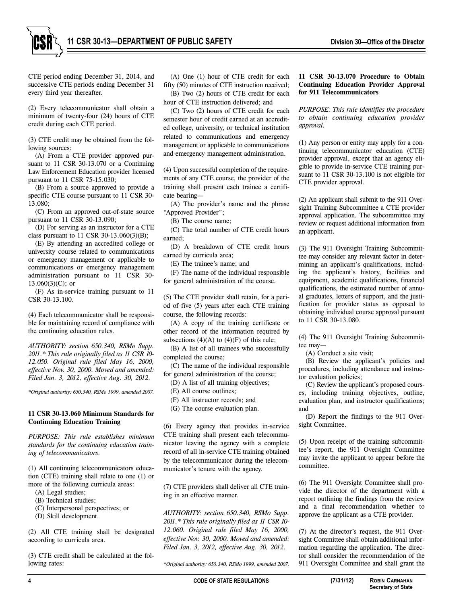

CTE period ending December 31, 2014, and successive CTE periods ending December 31 every third year thereafter.

(2) Every telecommunicator shall obtain a minimum of twenty-four (24) hours of CTE credit during each CTE period.

(3) CTE credit may be obtained from the following sources:

(A) From a CTE provider approved pursuant to 11 CSR 30-13.070 or a Continuing Law Enforcement Education provider licensed pursuant to 11 CSR 75-15.030;

(B) From a source approved to provide a specific CTE course pursuant to 11 CSR 30- 13.080;

(C) From an approved out-of-state source pursuant to 11 CSR 30-13.090;

(D) For serving as an instructor for a CTE class pursuant to 11 CSR 30-13.060(3)(B);

(E) By attending an accredited college or university course related to communications or emergency management or applicable to communications or emergency management administration pursuant to 11 CSR 30-  $13.060(3)(C)$ ; or

(F) As in-service training pursuant to 11 CSR 30-13.100.

(4) Each telecommunicator shall be responsible for maintaining record of compliance with the continuing education rules.

*AUTHORITY: section 650.340, RSMo Supp. 2011.\* This rule originally filed as 11 CSR 10- 12.050. Original rule filed May 16, 2000, effective Nov. 30, 2000. Moved and amended: Filed Jan. 3, 2012, effective Aug. 30, 2012.*

*\*Original authority: 650.340, RSMo 1999, amended 2007.*

#### **11 CSR 30-13.060 Minimum Standards for Continuing Education Training**

*PURPOSE: This rule establishes minimum standards for the continuing education training of telecommunicators.*

(1) All continuing telecommunicators education (CTE) training shall relate to one (1) or more of the following curricula areas:

- (A) Legal studies;
- (B) Technical studies;
- (C) Interpersonal perspectives; or
- (D) Skill development.

(2) All CTE training shall be designated according to curricula area.

(3) CTE credit shall be calculated at the following rates:

(A) One (1) hour of CTE credit for each fifty (50) minutes of CTE instruction received; (B) Two (2) hours of CTE credit for each hour of CTE instruction delivered; and

(C) Two (2) hours of CTE credit for each semester hour of credit earned at an accredited college, university, or technical institution related to communications and emergency management or applicable to communications and emergency management administration.

(4) Upon successful completion of the requirements of any CTE course, the provider of the training shall present each trainee a certificate bearing—

(A) The provider's name and the phrase "Approved Provider";

(B) The course name;

(C) The total number of CTE credit hours earned;

(D) A breakdown of CTE credit hours earned by curricula area;

(E) The trainee's name; and

(F) The name of the individual responsible for general administration of the course.

(5) The CTE provider shall retain, for a period of five (5) years after each CTE training course, the following records:

(A) A copy of the training certificate or other record of the information required by subsections  $(4)(A)$  to  $(4)(F)$  of this rule;

(B) A list of all trainees who successfully completed the course;

(C) The name of the individual responsible for general administration of the course;

(D) A list of all training objectives;

(E) All course outlines;

- (F) All instructor records; and
- (G) The course evaluation plan.

(6) Every agency that provides in-service CTE training shall present each telecommunicator leaving the agency with a complete record of all in-service CTE training obtained by the telecommunicator during the telecommunicator's tenure with the agency.

(7) CTE providers shall deliver all CTE training in an effective manner.

*AUTHORITY: section 650.340, RSMo Supp. 2011.\* This rule originally filed as 11 CSR 10- 12.060. Original rule filed May 16, 2000, effective Nov. 30, 2000. Moved and amended: Filed Jan. 3, 2012, effective Aug. 30, 2012.*

*\*Original authority: 650.340, RSMo 1999, amended 2007.*

# **11 CSR 30-13.070 Procedure to Obtain Continuing Education Provider Approval for 911 Telecommunicators**

*PURPOSE: This rule identifies the procedure to obtain continuing education provider approval.*

(1) Any person or entity may apply for a continuing telecommunicator education (CTE) provider approval, except that an agency eligible to provide in-service CTE training pursuant to 11 CSR 30-13.100 is not eligible for CTE provider approval.

(2) An applicant shall submit to the 911 Oversight Training Subcommittee a CTE provider approval application. The subcommittee may review or request additional information from an applicant.

(3) The 911 Oversight Training Subcommittee may consider any relevant factor in determining an applicant's qualifications, including the applicant's history, facilities and equipment, academic qualifications, financial qualifications, the estimated number of annual graduates, letters of support, and the justification for provider status as opposed to obtaining individual course approval pursuant to 11 CSR 30-13.080.

(4) The 911 Oversight Training Subcommittee may—

(A) Conduct a site visit;

(B) Review the applicant's policies and procedures, including attendance and instructor evaluation policies;

(C) Review the applicant's proposed courses, including training objectives, outline, evaluation plan, and instructor qualifications; and

(D) Report the findings to the 911 Oversight Committee.

(5) Upon receipt of the training subcommittee's report, the 911 Oversight Committee may invite the applicant to appear before the committee.

(6) The 911 Oversight Committee shall provide the director of the department with a report outlining the findings from the review and a final recommendation whether to approve the applicant as a CTE provider.

(7) At the director's request, the 911 Oversight Committee shall obtain additional information regarding the application. The director shall consider the recommendation of the 911 Oversight Committee and shall grant the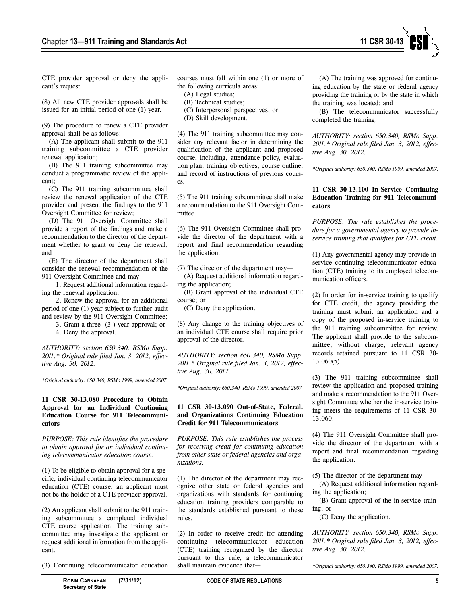

CTE provider approval or deny the applicant's request.

(8) All new CTE provider approvals shall be issued for an initial period of one (1) year.

(9) The procedure to renew a CTE provider approval shall be as follows:

(A) The applicant shall submit to the 911 training subcommittee a CTE provider renewal application;

(B) The 911 training subcommittee may conduct a programmatic review of the applicant;

(C) The 911 training subcommittee shall review the renewal application of the CTE provider and present the findings to the 911 Oversight Committee for review;

(D) The 911 Oversight Committee shall provide a report of the findings and make a recommendation to the director of the department whether to grant or deny the renewal; and

(E) The director of the department shall consider the renewal recommendation of the 911 Oversight Committee and may—

1. Request additional information regarding the renewal application;

2. Renew the approval for an additional period of one (1) year subject to further audit and review by the 911 Oversight Committee;

3. Grant a three- (3-) year approval; or

4. Deny the approval.

*AUTHORITY: section 650.340, RSMo Supp. 2011.\* Original rule filed Jan. 3, 2012, effective Aug. 30, 2012.*

*\*Original authority: 650.340, RSMo 1999, amended 2007.*

### **11 CSR 30-13.080 Procedure to Obtain Approval for an Individual Continuing Education Course for 911 Telecommunicators**

*PURPOSE: This rule identifies the procedure to obtain approval for an individual continuing telecommunicator education course.*

(1) To be eligible to obtain approval for a specific, individual continuing telecommunicator education (CTE) course, an applicant must not be the holder of a CTE provider approval.

(2) An applicant shall submit to the 911 training subcommittee a completed individual CTE course application. The training subcommittee may investigate the applicant or request additional information from the applicant.

(3) Continuing telecommunicator education

courses must fall within one (1) or more of the following curricula areas:

(A) Legal studies;

- (B) Technical studies;
- (C) Interpersonal perspectives; or
- (D) Skill development.

(4) The 911 training subcommittee may consider any relevant factor in determining the qualification of the applicant and proposed course, including, attendance policy, evaluation plan, training objectives, course outline, and record of instructions of previous courses.

(5) The 911 training subcommittee shall make a recommendation to the 911 Oversight Committee.

(6) The 911 Oversight Committee shall provide the director of the department with a report and final recommendation regarding the application.

- (7) The director of the department may— (A) Request additional information regard-
- ing the application;

(B) Grant approval of the individual CTE course; or

(C) Deny the application.

(8) Any change to the training objectives of an individual CTE course shall require prior approval of the director.

*AUTHORITY: section 650.340, RSMo Supp. 2011.\* Original rule filed Jan. 3, 2012, effective Aug. 30, 2012.*

*\*Original authority: 650.340, RSMo 1999, amended 2007.*

### **11 CSR 30-13.090 Out-of-State, Federal, and Organizations Continuing Education Credit for 911 Telecommunicators**

*PURPOSE: This rule establishes the process for receiving credit for continuing education from other state or federal agencies and organizations.*

(1) The director of the department may recognize other state or federal agencies and organizations with standards for continuing education training providers comparable to the standards established pursuant to these rules.

(2) In order to receive credit for attending continuing telecommunicator education (CTE) training recognized by the director pursuant to this rule, a telecommunicator shall maintain evidence that—

(A) The training was approved for continuing education by the state or federal agency providing the training or by the state in which the training was located; and

(B) The telecommunicator successfully completed the training.

*AUTHORITY: section 650.340, RSMo Supp. 2011.\* Original rule filed Jan. 3, 2012, effective Aug. 30, 2012.*

*\*Original authority: 650.340, RSMo 1999, amended 2007.*

# **11 CSR 30-13.100 In-Service Continuing Education Training for 911 Telecommunicators**

*PURPOSE: The rule establishes the procedure for a governmental agency to provide inservice training that qualifies for CTE credit.*

(1) Any governmental agency may provide inservice continuing telecommunicator education (CTE) training to its employed telecommunication officers.

(2) In order for in-service training to qualify for CTE credit, the agency providing the training must submit an application and a copy of the proposed in-service training to the 911 training subcommittee for review. The applicant shall provide to the subcommittee, without charge, relevant agency records retained pursuant to 11 CSR 30- 13.060(5).

(3) The 911 training subcommittee shall review the application and proposed training and make a recommendation to the 911 Oversight Committee whether the in-service training meets the requirements of 11 CSR 30- 13.060.

(4) The 911 Oversight Committee shall provide the director of the department with a report and final recommendation regarding the application.

(5) The director of the department may—

(A) Request additional information regarding the application;

(B) Grant approval of the in-service training; or

(C) Deny the application.

*AUTHORITY: section 650.340, RSMo Supp. 2011.\* Original rule filed Jan. 3, 2012, effective Aug. 30, 2012.*

*\*Original authority: 650.340, RSMo 1999, amended 2007.*